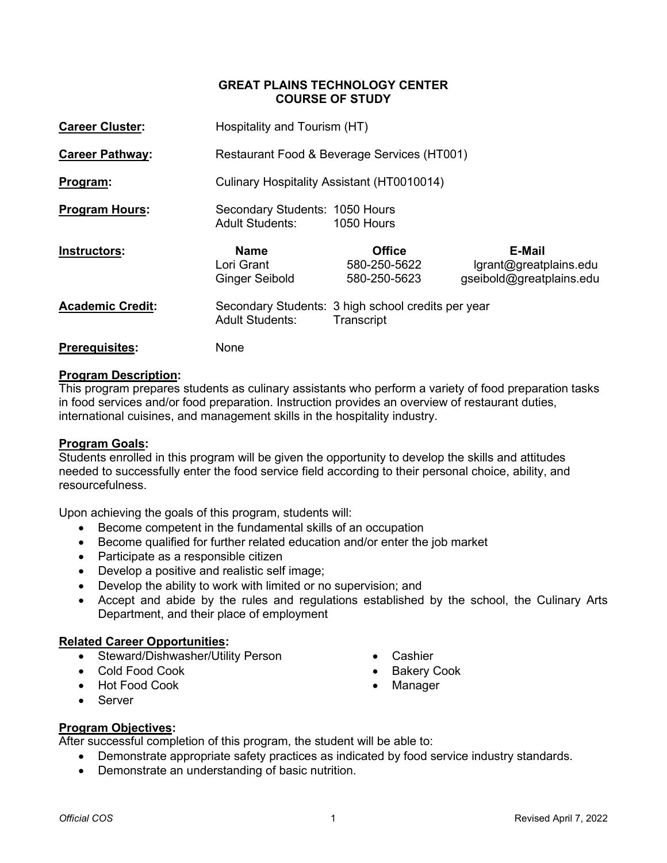### **GREAT PLAINS TECHNOLOGY CENTER COURSE OF STUDY**

| <b>Career Cluster:</b>  |                                                          | Hospitality and Tourism (HT)                                     |                                                                     |  |  |
|-------------------------|----------------------------------------------------------|------------------------------------------------------------------|---------------------------------------------------------------------|--|--|
| <b>Career Pathway:</b>  |                                                          | Restaurant Food & Beverage Services (HT001)                      |                                                                     |  |  |
| Program:                |                                                          | Culinary Hospitality Assistant (HT0010014)                       |                                                                     |  |  |
| <b>Program Hours:</b>   | Secondary Students: 1050 Hours<br><b>Adult Students:</b> | 1050 Hours                                                       |                                                                     |  |  |
| Instructors:            | <b>Name</b><br>Lori Grant<br>Ginger Seibold              | <b>Office</b><br>580-250-5622<br>580-250-5623                    | <b>E-Mail</b><br>lgrant@greatplains.edu<br>gseibold@greatplains.edu |  |  |
| <b>Academic Credit:</b> | <b>Adult Students:</b>                                   | Secondary Students: 3 high school credits per year<br>Transcript |                                                                     |  |  |
| <b>Prerequisites:</b>   | None                                                     |                                                                  |                                                                     |  |  |

### **Program Description:**

This program prepares students as culinary assistants who perform a variety of food preparation tasks in food services and/or food preparation. Instruction provides an overview of restaurant duties, international cuisines, and management skills in the hospitality industry.

### **Program Goals:**

Students enrolled in this program will be given the opportunity to develop the skills and attitudes needed to successfully enter the food service field according to their personal choice, ability, and resourcefulness.

Upon achieving the goals of this program, students will:

- Become competent in the fundamental skills of an occupation
- Become qualified for further related education and/or enter the job market
- Participate as a responsible citizen
- Develop a positive and realistic self image;
- Develop the ability to work with limited or no supervision; and
- Accept and abide by the rules and regulations established by the school, the Culinary Arts Department, and their place of employment

### **Related Career Opportunities:**

- Steward/Dishwasher/Utility Person
- Cold Food Cook
- Hot Food Cook
- Server
- Cashier
- Bakery Cook
- Manager

### **Program Objectives:**

After successful completion of this program, the student will be able to:

- Demonstrate appropriate safety practices as indicated by food service industry standards.
- Demonstrate an understanding of basic nutrition.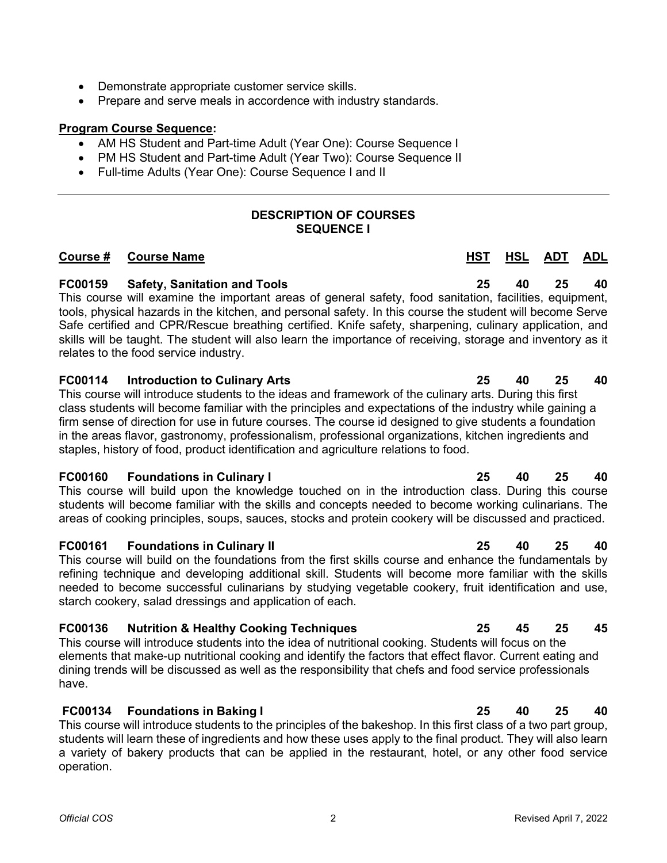- Demonstrate appropriate customer service skills.
- Prepare and serve meals in accordence with industry standards.

### **Program Course Sequence:**

- AM HS Student and Part-time Adult (Year One): Course Sequence I
- PM HS Student and Part-time Adult (Year Two): Course Sequence II
- Full-time Adults (Year One): Course Sequence I and II

### **DESCRIPTION OF COURSES SEQUENCE I**

### **Course # Course Name HST HSL ADT ADL**

### **FC00159 Safety, Sanitation and Tools 25 40 25 40**

This course will examine the important areas of general safety, food sanitation, facilities, equipment, tools, physical hazards in the kitchen, and personal safety. In this course the student will become Serve Safe certified and CPR/Rescue breathing certified. Knife safety, sharpening, culinary application, and skills will be taught. The student will also learn the importance of receiving, storage and inventory as it relates to the food service industry.

### **FC00114 Introduction to Culinary Arts 25 40 25 40**

This course will introduce students to the ideas and framework of the culinary arts. During this first class students will become familiar with the principles and expectations of the industry while gaining a firm sense of direction for use in future courses. The course id designed to give students a foundation in the areas flavor, gastronomy, professionalism, professional organizations, kitchen ingredients and staples, history of food, product identification and agriculture relations to food.

### **FC00160 Foundations in Culinary I 25 40 25 40**

This course will build upon the knowledge touched on in the introduction class. During this course students will become familiar with the skills and concepts needed to become working culinarians. The areas of cooking principles, soups, sauces, stocks and protein cookery will be discussed and practiced.

### **FC00161 Foundations in Culinary II 25 40 25 40**

This course will build on the foundations from the first skills course and enhance the fundamentals by refining technique and developing additional skill. Students will become more familiar with the skills needed to become successful culinarians by studying vegetable cookery, fruit identification and use, starch cookery, salad dressings and application of each.

### **FC00136 Nutrition & Healthy Cooking Techniques 25 45 25 45**

This course will introduce students into the idea of nutritional cooking. Students will focus on the elements that make-up nutritional cooking and identify the factors that effect flavor. Current eating and dining trends will be discussed as well as the responsibility that chefs and food service professionals have.

### **FC00134 Foundations in Baking I 25 40 25 40**

This course will introduce students to the principles of the bakeshop. In this first class of a two part group, students will learn these of ingredients and how these uses apply to the final product. They will also learn a variety of bakery products that can be applied in the restaurant, hotel, or any other food service operation.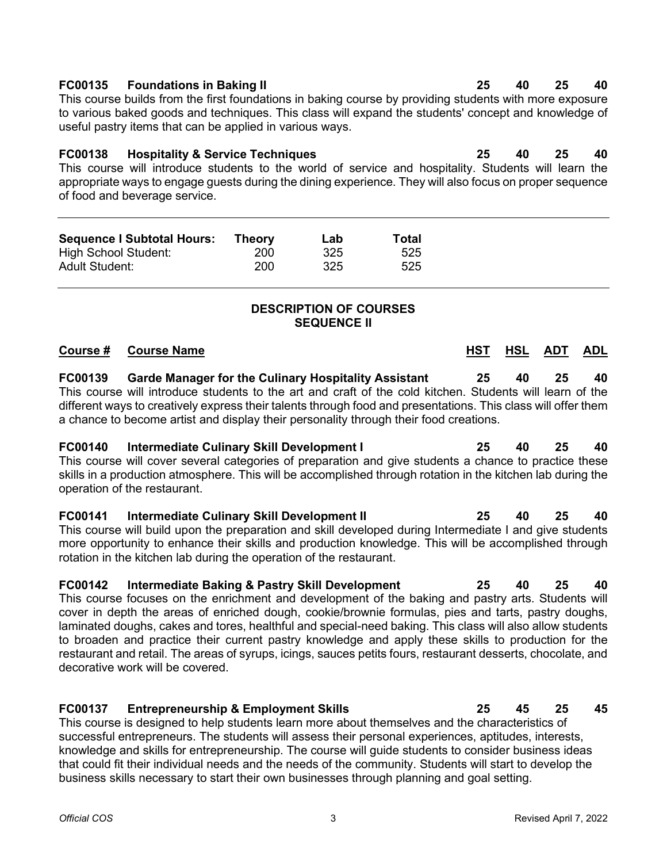### **FC00135 Foundations in Baking II 25 40 25 40**

This course builds from the first foundations in baking course by providing students with more exposure to various baked goods and techniques. This class will expand the students' concept and knowledge of useful pastry items that can be applied in various ways.

**FC00138 Hospitality & Service Techniques 25 40 25 40** This course will introduce students to the world of service and hospitality. Students will learn the appropriate ways to engage guests during the dining experience. They will also focus on proper sequence of food and beverage service.

| <b>Sequence I Subtotal Hours:</b> | <b>Theory</b> | Lab | <b>Total</b> |
|-----------------------------------|---------------|-----|--------------|
| High School Student:              | 200           | 325 | 525          |
| Adult Student:                    | 200           | 325 | 525          |

# **DESCRIPTION OF COURSES SEQUENCE II**

| Course #       | <b>Course Name</b>                                                                                                                                                                                                                                                                                                                                                                               | HST | HSL | ADT | <b>ADL</b> |
|----------------|--------------------------------------------------------------------------------------------------------------------------------------------------------------------------------------------------------------------------------------------------------------------------------------------------------------------------------------------------------------------------------------------------|-----|-----|-----|------------|
| <b>FC00139</b> | <b>Garde Manager for the Culinary Hospitality Assistant</b><br>This course will introduce students to the art and craft of the cold kitchen. Students will learn of the<br>different ways to creatively express their talents through food and presentations. This class will offer them<br>a chance to become artist and display their personality through their food creations.                | 25  | 40  | 25  | 40         |
|                | FC00140 Intermediate Culinary Skill Development I<br>This course will cover several categories of preparation and give students a chance to practice these<br>skills in a production atmosphere. This will be accomplished through rotation in the kitchen lab during the<br>operation of the restaurant.                                                                                        | 25  | 40  | 25  | 40         |
|                | FC00141 Intermediate Culinary Skill Development II<br>This course will build upon the preparation and skill developed during Intermediate I and give students<br>more opportunity to enhance their skills and production knowledge. This will be accomplished through<br>rotation in the kitchen lab during the operation of the restaurant.                                                     | 25  | 40  | 25  | 40         |
| <b>FC00142</b> | Intermediate Baking & Pastry Skill Development<br>This course focuses on the enrichment and development of the baking and pastry arts. Students will<br>cover in depth the areas of enriched dough, cookie/brownie formulas, pies and tarts, pastry doughs,<br>المشاورية ويروالها والملوا الزرز وموام وناوات ومراراهما اومومر المتوامع والمشاولات والمستوعد والمستواء والمرواء المشاورة والمستور | 25  | 40  | 25  | 40         |

laminated doughs, cakes and tores, healthful and special-need baking. This class will also allow students to broaden and practice their current pastry knowledge and apply these skills to production for the restaurant and retail. The areas of syrups, icings, sauces petits fours, restaurant desserts, chocolate, and decorative work will be covered.

## **FC00137 Entrepreneurship & Employment Skills 25 45 25 45**

This course is designed to help students learn more about themselves and the characteristics of successful entrepreneurs. The students will assess their personal experiences, aptitudes, interests, knowledge and skills for entrepreneurship. The course will guide students to consider business ideas that could fit their individual needs and the needs of the community. Students will start to develop the business skills necessary to start their own businesses through planning and goal setting.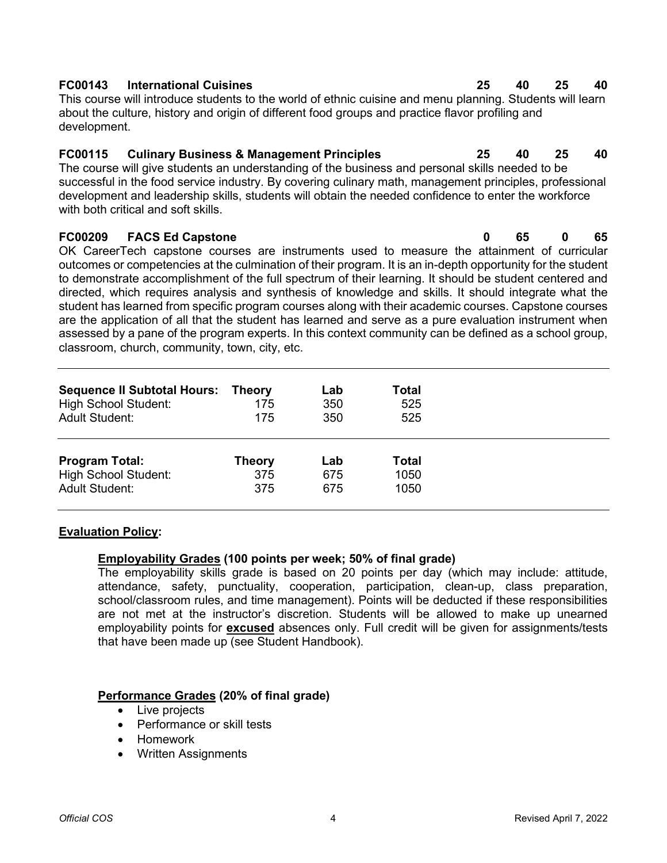### *Official COS* 4 Revised April 7, 2022

# **FC00143 International Cuisines 25 40 25 40**

This course will introduce students to the world of ethnic cuisine and menu planning. Students will learn about the culture, history and origin of different food groups and practice flavor profiling and development.

# **FC00115 Culinary Business & Management Principles 25 40 25 40**

The course will give students an understanding of the business and personal skills needed to be successful in the food service industry. By covering culinary math, management principles, professional development and leadership skills, students will obtain the needed confidence to enter the workforce with both critical and soft skills.

# **FC00209 FACS Ed Capstone 0 65 0 65**

OK CareerTech capstone courses are instruments used to measure the attainment of curricular outcomes or competencies at the culmination of their program. It is an in-depth opportunity for the student to demonstrate accomplishment of the full spectrum of their learning. It should be student centered and directed, which requires analysis and synthesis of knowledge and skills. It should integrate what the student has learned from specific program courses along with their academic courses. Capstone courses are the application of all that the student has learned and serve as a pure evaluation instrument when assessed by a pane of the program experts. In this context community can be defined as a school group, classroom, church, community, town, city, etc.

| <b>Sequence II Subtotal Hours: Theory</b><br><b>High School Student:</b><br><b>Adult Student:</b> | 175<br>175    | Lab<br>350<br>350 | Total<br>525<br>525 |
|---------------------------------------------------------------------------------------------------|---------------|-------------------|---------------------|
| <b>Program Total:</b>                                                                             | <b>Theory</b> | Lab               | <b>Total</b>        |
| <b>High School Student:</b>                                                                       | 375           | 675               | 1050                |
| <b>Adult Student:</b>                                                                             | 375           | 675               | 1050                |

# **Evaluation Policy:**

# **Employability Grades (100 points per week; 50% of final grade)**

The employability skills grade is based on 20 points per day (which may include: attitude, attendance, safety, punctuality, cooperation, participation, clean-up, class preparation, school/classroom rules, and time management). Points will be deducted if these responsibilities are not met at the instructor's discretion. Students will be allowed to make up unearned employability points for **excused** absences only. Full credit will be given for assignments/tests that have been made up (see Student Handbook).

# **Performance Grades (20% of final grade)**

- Live projects
- Performance or skill tests
- Homework
- Written Assignments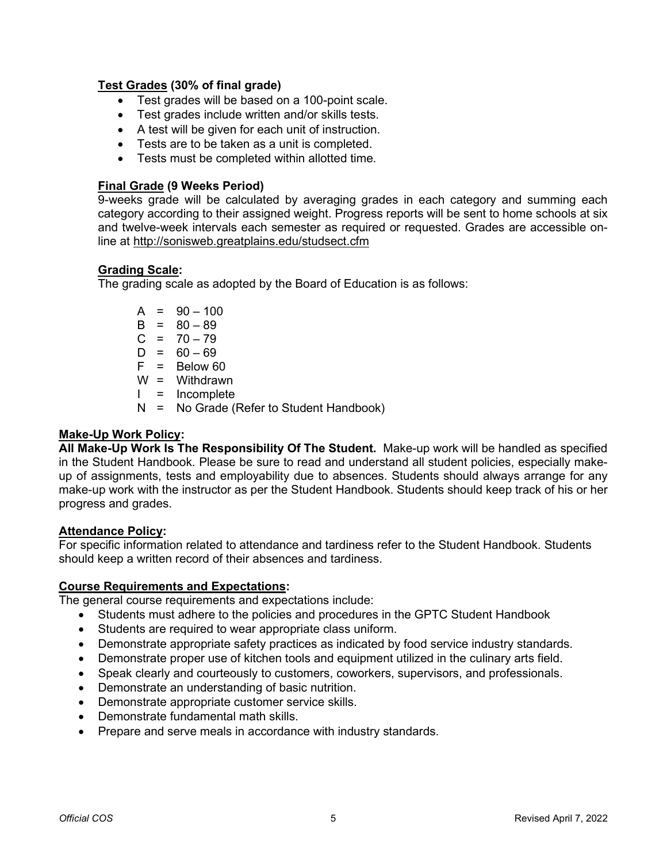### **Test Grades (30% of final grade)**

- Test grades will be based on a 100-point scale.
- Test grades include written and/or skills tests.
- A test will be given for each unit of instruction.
- Tests are to be taken as a unit is completed.
- Tests must be completed within allotted time.

### **Final Grade (9 Weeks Period)**

9-weeks grade will be calculated by averaging grades in each category and summing each category according to their assigned weight. Progress reports will be sent to home schools at six and twelve-week intervals each semester as required or requested. Grades are accessible online at<http://sonisweb.greatplains.edu/studsect.cfm>

### **Grading Scale:**

The grading scale as adopted by the Board of Education is as follows:

|  | $A = 90 - 100$                             |
|--|--------------------------------------------|
|  | $B = 80 - 89$                              |
|  | $C = 70 - 79$                              |
|  | $D = 60 - 69$                              |
|  | $F = Below 60$                             |
|  | $W = Withdrawn$                            |
|  | $I = Incomplete$                           |
|  | $N = No$ Grade (Refer to Student Handbook) |

## **Make-Up Work Policy:**

**All Make-Up Work Is The Responsibility Of The Student.** Make-up work will be handled as specified in the Student Handbook. Please be sure to read and understand all student policies, especially makeup of assignments, tests and employability due to absences. Students should always arrange for any make-up work with the instructor as per the Student Handbook. Students should keep track of his or her progress and grades.

### **Attendance Policy:**

For specific information related to attendance and tardiness refer to the Student Handbook. Students should keep a written record of their absences and tardiness.

### **Course Requirements and Expectations:**

The general course requirements and expectations include:

- Students must adhere to the policies and procedures in the GPTC Student Handbook
- Students are required to wear appropriate class uniform.
- Demonstrate appropriate safety practices as indicated by food service industry standards.
- Demonstrate proper use of kitchen tools and equipment utilized in the culinary arts field.
- Speak clearly and courteously to customers, coworkers, supervisors, and professionals.
- Demonstrate an understanding of basic nutrition.
- Demonstrate appropriate customer service skills.
- Demonstrate fundamental math skills.
- Prepare and serve meals in accordance with industry standards.